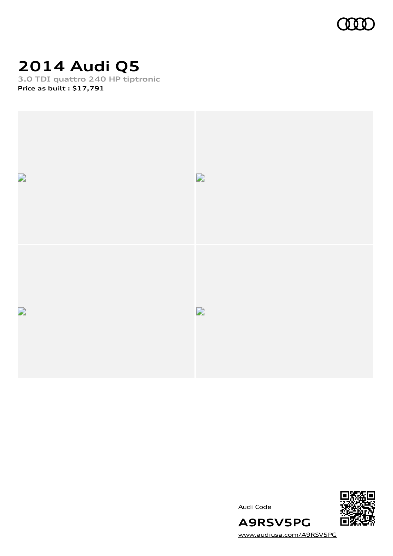

# **2014 Audi Q5**

**3.0 TDI quattro 240 HP tiptronic Price as built [:](#page-10-0) \$17,791**





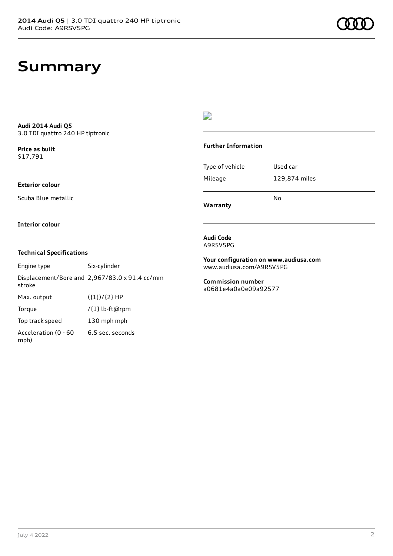### **Summary**

#### **Audi 2014 Audi Q5** 3.0 TDI quattro 240 HP tiptronic

**Price as buil[t](#page-10-0)** \$17,791

### **Exterior colour**

Scuba Blue metallic

### $\overline{\phantom{a}}$

### **Further Information**

|                 | N٥            |
|-----------------|---------------|
| Mileage         | 129,874 miles |
| Type of vehicle | Used car      |

**Warranty**

#### **Interior colour**

### **Technical Specifications**

| Engine type                  | Six-cylinder                                  |
|------------------------------|-----------------------------------------------|
| stroke                       | Displacement/Bore and 2,967/83.0 x 91.4 cc/mm |
| Max. output                  | $({1})/{2}$ HP                                |
| Torque                       | /{1} lb-ft@rpm                                |
| Top track speed              | 130 mph mph                                   |
| Acceleration (0 - 60<br>mph) | 6.5 sec. seconds                              |

#### **Audi Code** A9RSV5PG

**Your configuration on www.audiusa.com** [www.audiusa.com/A9RSV5PG](https://www.audiusa.com/A9RSV5PG)

**Commission number** a0681e4a0a0e09a92577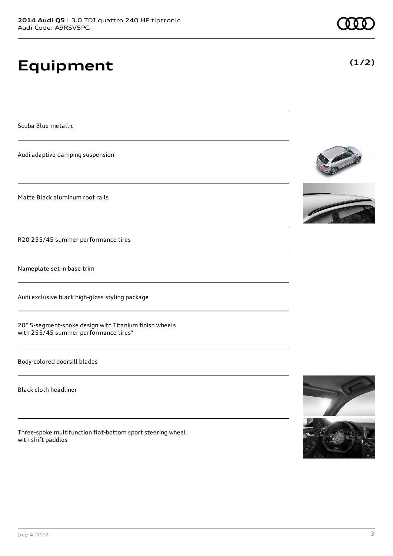# **Equipment**

Scuba Blue metallic

Audi adaptive damping suspension

Matte Black aluminum roof rails

R20 255/45 summer performance tires

Nameplate set in base trim

Audi exclusive black high-gloss styling package

20" 5-segment-spoke design with Titanium finish wheels with 255/45 summer performance tires\*

Body-colored doorsill blades

Black cloth headliner

Three-spoke multifunction flat-bottom sport steering wheel with shift paddles







**(1/2)**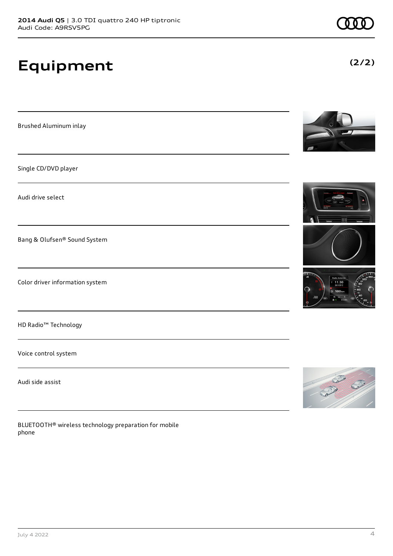# **Equipment**

Brushed Aluminum inlay

Single CD/DVD player

Audi drive select

Bang & Olufsen® Sound System

Color driver information system

HD Radio™ Technology

Voice control system

Audi side assist

BLUETOOTH® wireless technology preparation for mobile phone







**(2/2)**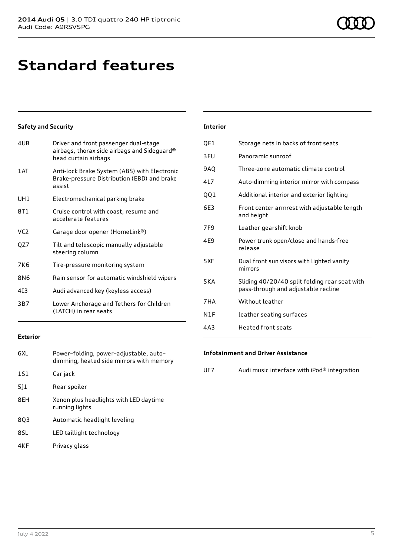### **Standard features**

### **Safety and Security**

| 4UB             | Driver and front passenger dual-stage<br>airbags, thorax side airbags and Sideguard®<br>head curtain airbags |
|-----------------|--------------------------------------------------------------------------------------------------------------|
| 1 AT            | Anti-lock Brake System (ABS) with Electronic<br>Brake-pressure Distribution (EBD) and brake<br>assist        |
| UH1             | Electromechanical parking brake                                                                              |
| 8T1             | Cruise control with coast, resume and<br>accelerate features                                                 |
| VC <sub>2</sub> | Garage door opener (HomeLink®)                                                                               |
| QZ7             | Tilt and telescopic manually adjustable<br>steering column                                                   |
| 7K6             | Tire-pressure monitoring system                                                                              |
| 8N6             | Rain sensor for automatic windshield wipers                                                                  |
| 413             | Audi advanced key (keyless access)                                                                           |
| 3B7             | Lower Anchorage and Tethers for Children<br>(LATCH) in rear seats                                            |

#### **Interior**

| Storage nets in backs of front seats                                                 |
|--------------------------------------------------------------------------------------|
| Panoramic sunroof                                                                    |
| Three-zone automatic climate control                                                 |
| Auto-dimming interior mirror with compass                                            |
| Additional interior and exterior lighting                                            |
| Front center armrest with adjustable length<br>and height                            |
| Leather gearshift knob                                                               |
| Power trunk open/close and hands-free<br>release                                     |
| Dual front sun visors with lighted vanity<br>mirrors                                 |
| Sliding 40/20/40 split folding rear seat with<br>pass-through and adjustable recline |
| Without leather                                                                      |
| leather seating surfaces                                                             |
| Heated front seats                                                                   |
|                                                                                      |

### **Exterior**

| 6XL | Power-folding, power-adjustable, auto-<br>dimming, heated side mirrors with memory |
|-----|------------------------------------------------------------------------------------|
| 1S1 | Car jack                                                                           |
| 5]1 | Rear spoiler                                                                       |
| 8EH | Xenon plus headlights with LED daytime<br>running lights                           |
| 803 | Automatic headlight leveling                                                       |
| 8SL | LED taillight technology                                                           |
| 4KF | Privacy glass                                                                      |

### **Infotainment and Driver Assistance**

UF7 Audi music interface with iPod® integration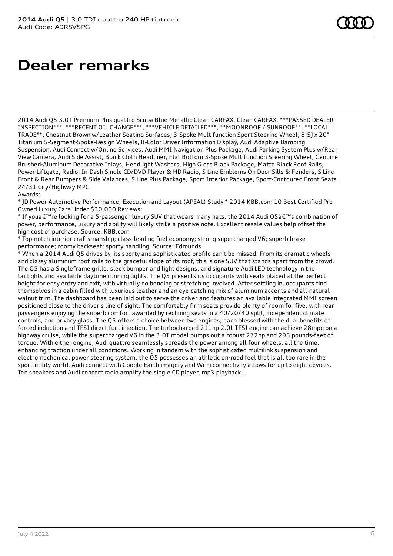### **Dealer remarks**

2014 Audi Q5 3.0T Premium Plus quattro Scuba Blue Metallic Clean CARFAX. Clean CARFAX. \*\*\*PASSED DEALER INSPECTION\*\*\*, \*\*\*RECENT OIL CHANGE\*\*\*, \*\*\*VEHICLE DETAILED\*\*\*, \*\*MOONROOF / SUNROOF\*\*, \*\*LOCAL TRADE\*\*, Chestnut Brown w/Leather Seating Surfaces, 3-Spoke Multifunction Sport Steering Wheel, 8.5J x 20" Titanium 5-Segment-Spoke-Design Wheels, 8-Color Driver Information Display, Audi Adaptive Damping Suspension, Audi Connect w/Online Services, Audi MMI Navigation Plus Package, Audi Parking System Plus w/Rear View Camera, Audi Side Assist, Black Cloth Headliner, Flat Bottom 3-Spoke Multifunction Steering Wheel, Genuine Brushed-Aluminum Decorative Inlays, Headlight Washers, High Gloss Black Package, Matte Black Roof Rails, Power Liftgate, Radio: In-Dash Single CD/DVD Player & HD Radio, S Line Emblems On Door Sills & Fenders, S Line Front & Rear Bumpers & Side Valances, S Line Plus Package, Sport Interior Package, Sport-Contoured Front Seats. 24/31 City/Highway MPG

#### Awards:

\* JD Power Automotive Performance, Execution and Layout (APEAL) Study \* 2014 KBB.com 10 Best Certified Pre-Owned Luxury Cars Under \$30,000 Reviews:

\* If you're looking for a 5-passenger luxury SUV that wears many hats, the 2014 Audi Q5's combination of power, performance, luxury and ability will likely strike a positive note. Excellent resale values help offset the high cost of purchase. Source: KBB.com

\* Top-notch interior craftsmanship; class-leading fuel economy; strong supercharged V6; superb brake performance; roomy backseat; sporty handling. Source: Edmunds

\* When a 2014 Audi Q5 drives by, its sporty and sophisticated profile can't be missed. From its dramatic wheels and classy aluminum roof rails to the graceful slope of its roof, this is one SUV that stands apart from the crowd. The Q5 has a Singleframe grille, sleek bumper and light designs, and signature Audi LED technology in the taillights and available daytime running lights. The Q5 presents its occupants with seats placed at the perfect height for easy entry and exit, with virtually no bending or stretching involved. After settling in, occupants find themselves in a cabin filled with luxurious leather and an eye-catching mix of aluminum accents and all-natural walnut trim. The dashboard has been laid out to serve the driver and features an available integrated MMI screen positioned close to the driver's line of sight. The comfortably firm seats provide plenty of room for five, with rear passengers enjoying the superb comfort awarded by reclining seats in a 40/20/40 split, independent climate controls, and privacy glass. The Q5 offers a choice between two engines, each blessed with the dual benefits of forced induction and TFSI direct fuel injection. The turbocharged 211hp 2.0L TFSI engine can achieve 28mpg on a highway cruise, while the supercharged V6 in the 3.0T model pumps out a robust 272hp and 295 pounds-feet of torque. With either engine, Audi quattro seamlessly spreads the power among all four wheels, all the time, enhancing traction under all conditions. Working in tandem with the sophisticated multilink suspension and electromechanical power steering system, the Q5 possesses an athletic on-road feel that is all too rare in the sport-utility world. Audi connect with Google Earth imagery and Wi-Fi connectivity allows for up to eight devices. Ten speakers and Audi concert radio amplify the single CD player, mp3 playback...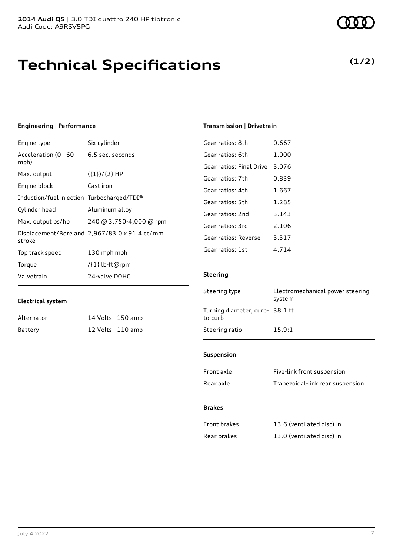### **Technical Specifications**

### **Engineering | Performance**

| Engine type                                | Six-cylinder                                  |
|--------------------------------------------|-----------------------------------------------|
| Acceleration (0 - 60<br>mph)               | 6.5 sec. seconds                              |
| Max. output                                | $({1})/{2}$ HP                                |
| Engine block                               | Cast iron                                     |
| Induction/fuel injection Turbocharged/TDI® |                                               |
| Cylinder head                              | Aluminum alloy                                |
| Max. output ps/hp                          | 240 @ 3,750-4,000 @ rpm                       |
| stroke                                     | Displacement/Bore and 2,967/83.0 x 91.4 cc/mm |
| Top track speed                            | 130 mph mph                                   |
| Torque                                     | /{1} lb-ft@rpm                                |
| Valvetrain                                 | 24-valve DOHC                                 |
|                                            |                                               |

### **Electrical system**

| Alternator | 14 Volts - 150 amp |
|------------|--------------------|
| Battery    | 12 Volts - 110 amp |

**(1/2)**

### **Transmission | Drivetrain**

| 0.667 |
|-------|
| 1.000 |
| 3.076 |
| 0.839 |
| 1.667 |
| 1.285 |
| 3.143 |
| 2.106 |
| 3.317 |
| 4.714 |
|       |

### **Steering**

| Steering type                             | Electromechanical power steering<br>system |
|-------------------------------------------|--------------------------------------------|
| Turning diameter, curb-38.1 ft<br>to-curb |                                            |
| Steering ratio                            | 15.9:1                                     |

### **Suspension**

| Front axle | Five-link front suspension       |
|------------|----------------------------------|
| Rear axle  | Trapezoidal-link rear suspension |

### **Brakes**

| Front brakes | 13.6 (ventilated disc) in |
|--------------|---------------------------|
| Rear brakes  | 13.0 (ventilated disc) in |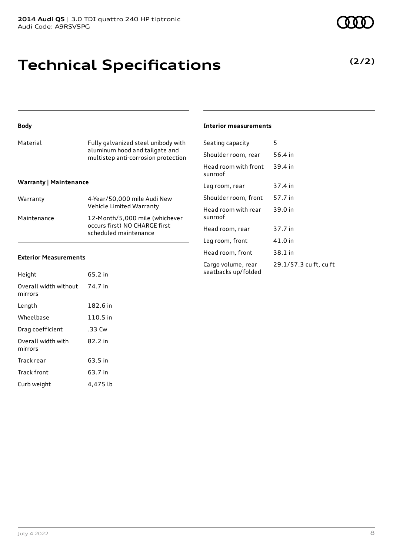### **Technical Specifications**

### **Body**

| Material | Fully galvanized steel unibody with<br>aluminum hood and tailgate and<br>multistep anti-corrosion protection |
|----------|--------------------------------------------------------------------------------------------------------------|
|          |                                                                                                              |

### **Warranty | Maintenance**

| Warranty    | 4-Year/50,000 mile Audi New<br>Vehicle Limited Warranty                                  |
|-------------|------------------------------------------------------------------------------------------|
| Maintenance | 12-Month/5,000 mile (whichever<br>occurs first) NO CHARGE first<br>scheduled maintenance |

#### **Exterior Measurements**

| Height                           | 65.2 in  |
|----------------------------------|----------|
| Overall width without<br>mirrors | 74.7 in  |
| Length                           | 182.6 in |
| Wheelbase                        | 110.5 in |
| Drag coefficient                 | .33 Cw   |
| Overall width with<br>mirrors    | 82.2 in  |
| Track rear                       | 63.5 in  |
| Track front                      | 63.7 in  |
| Curb weight                      | 4.475 lb |

### **Interior measurements**

| Seating capacity                          | 5                      |
|-------------------------------------------|------------------------|
| Shoulder room, rear                       | 56.4 in                |
| Head room with front<br>sunroof           | 39.4 in                |
| Leg room, rear                            | 37.4 in                |
| Shoulder room, front                      | 57.7 in                |
| Head room with rear<br>sunroof            | 39.0 in                |
| Head room, rear                           | 37.7 in                |
| Leg room, front                           | 41.0 in                |
| Head room, front                          | 38.1 in                |
| Cargo volume, rear<br>seatbacks up/folded | 29.1/57.3 cu ft, cu ft |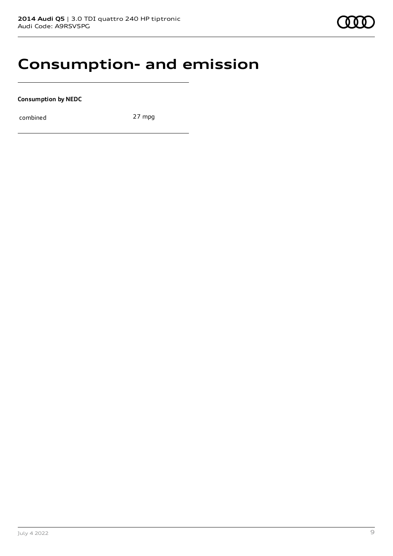### **Consumption- and emission**

**Consumption by NEDC**

combined 27 mpg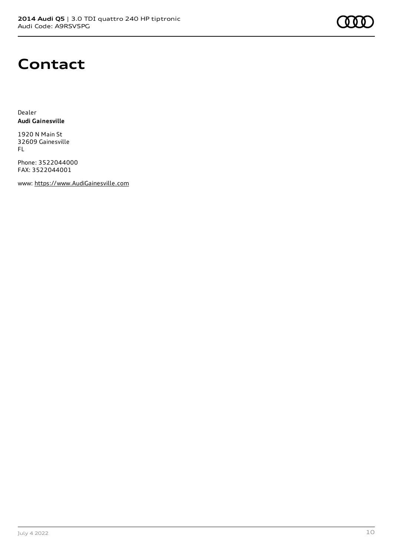

### **Contact**

Dealer **Audi Gainesville**

1920 N Main St 32609 Gainesville FL

Phone: 3522044000 FAX: 3522044001

www: [https://www.AudiGainesville.com](https://www.audigainesville.com/)